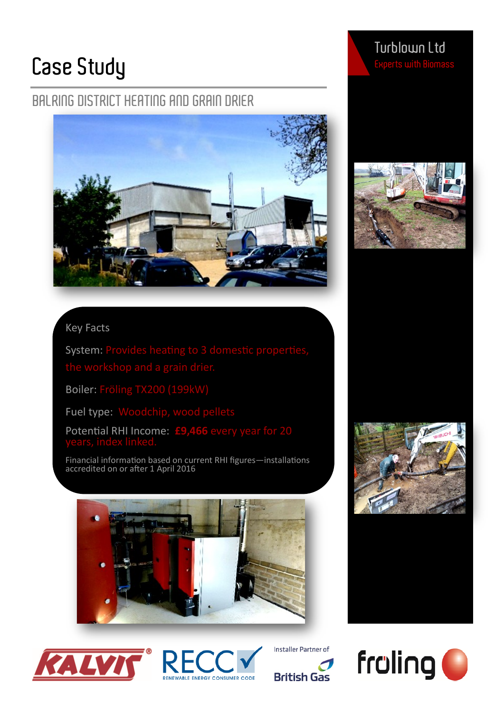## **Case Study**

## **BALRING DISTRICT HEATING AND GRAIN DRIER**



### Key Facts

System: Provides heating to 3 domestic properties,

Boiler: Fröling TX200 (199kW)

Fuel type: Woodchip, wood pellets

Potential RHI Income: **£9,466** every year for 20

Financial information based on current RHI figures—installations accredited on or after 1 April 2016